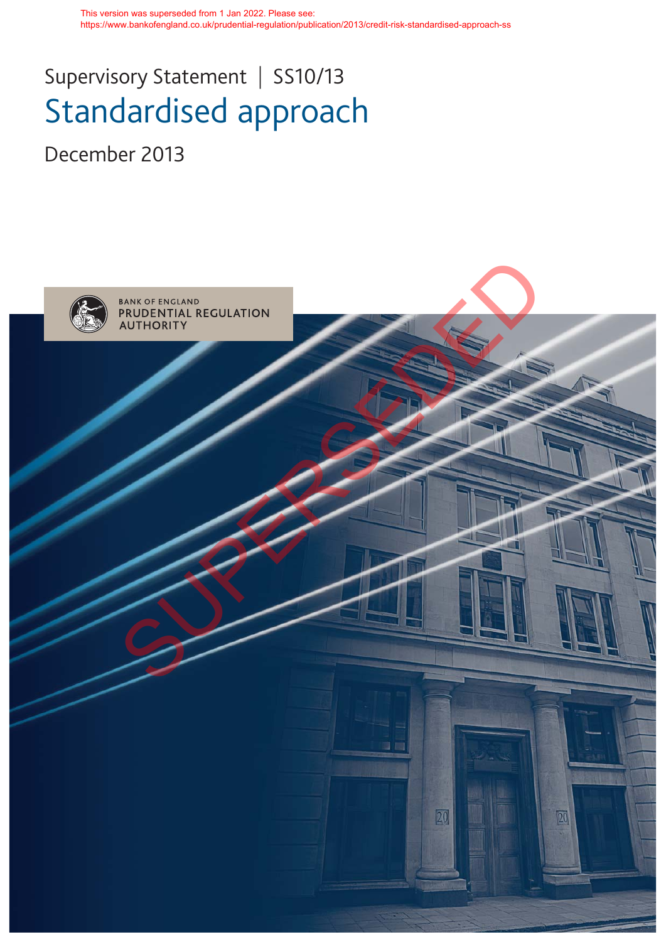This version was superseded from 1 Jan 2022. Please see: https://www.bankofengland.co.uk/prudential-regulation/publication/2013/credit-risk-standardised-approach-ss

# Supervisory Statement | SS10/13 Standardised approach

December 2013

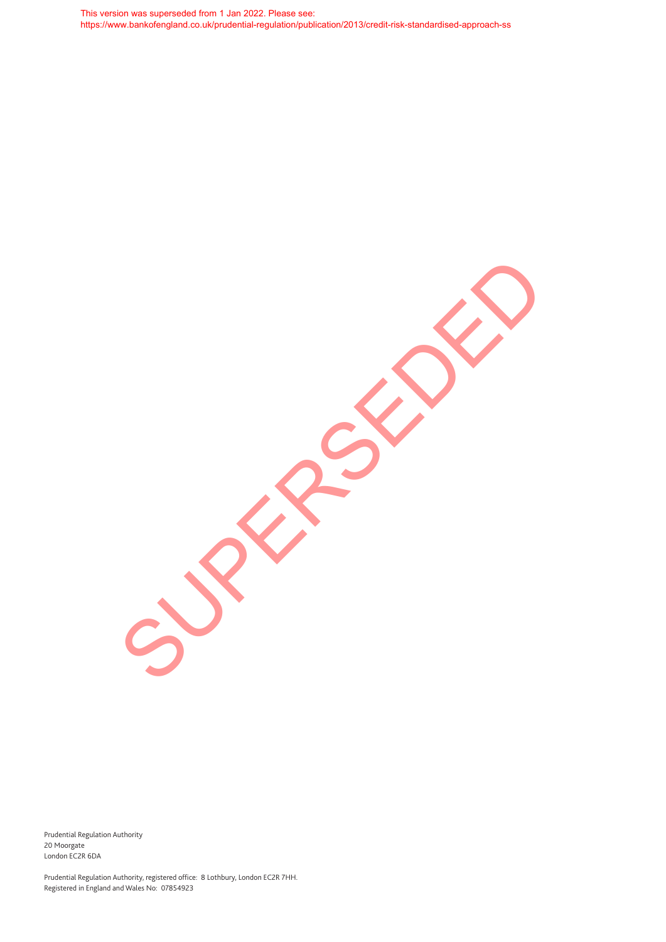This version was superseded from 1 Jan 2022. Please see: https://www.bankofengland.co.uk/prudential-regulation/publication/2013/credit-risk-standardised-approach-ss

SUPERSEDED

Prudential Regulation Authority 20 Moorgate London EC2R 6DA

Prudential Regulation Authority, registered office: 8 Lothbury, London EC2R 7HH. Registered in England and Wales No: 07854923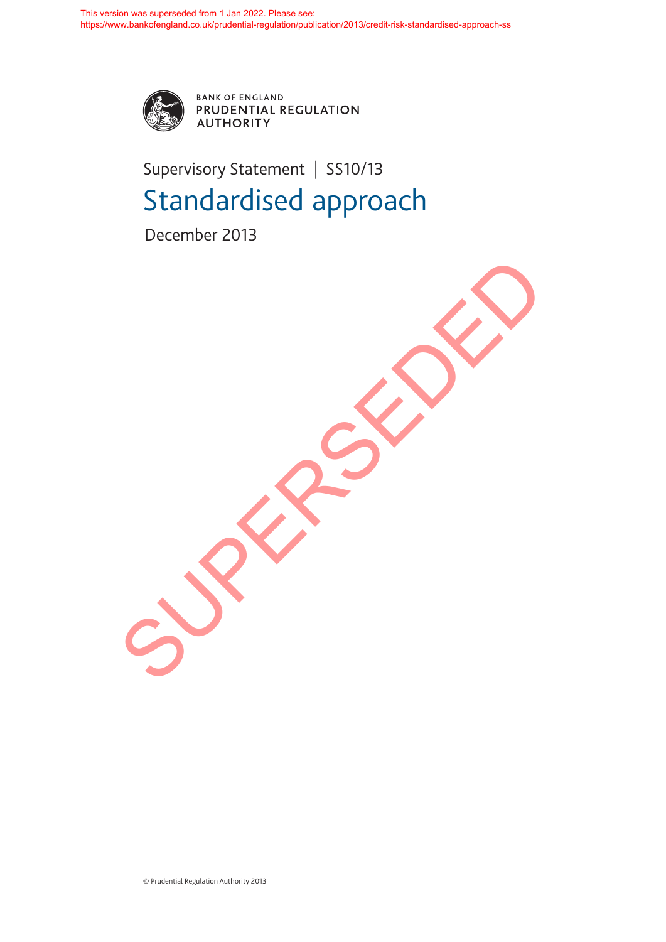

BANK OF ENGLAND<br>PRUDENTIAL REGULATION **AUTHORITY** 

## Supervisory Statement | SS10/13 Standardised approach

December 2013

SUPERSEDED

© Prudential Regulation Authority 2013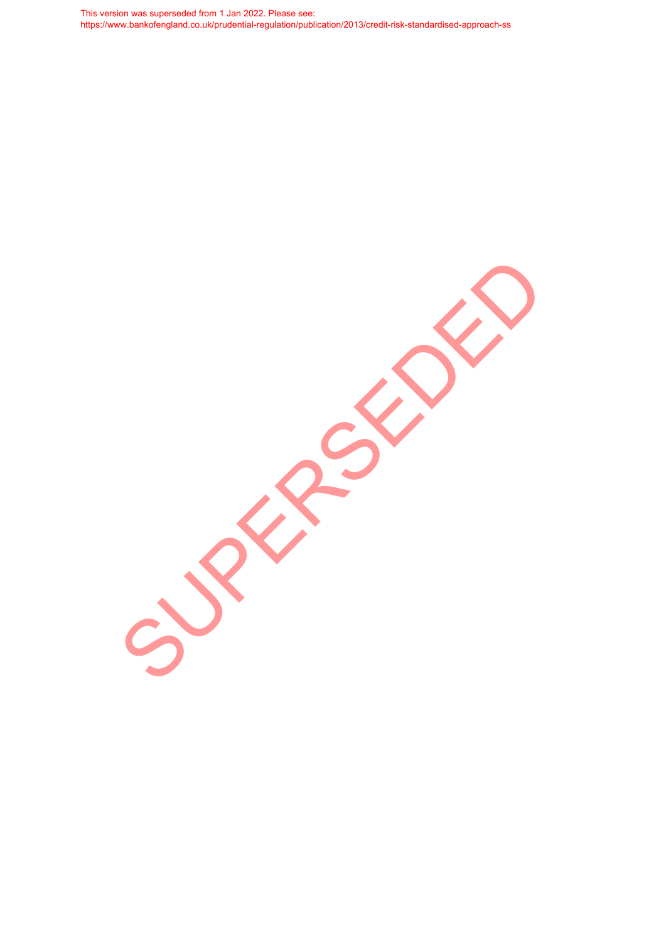This version was superseded from 1 Jan 2022. Please see: https://www.bankofengland.co.uk/prudential-regulation/publication/2013/credit-risk-standardised-approach-ss

SUPERSEDED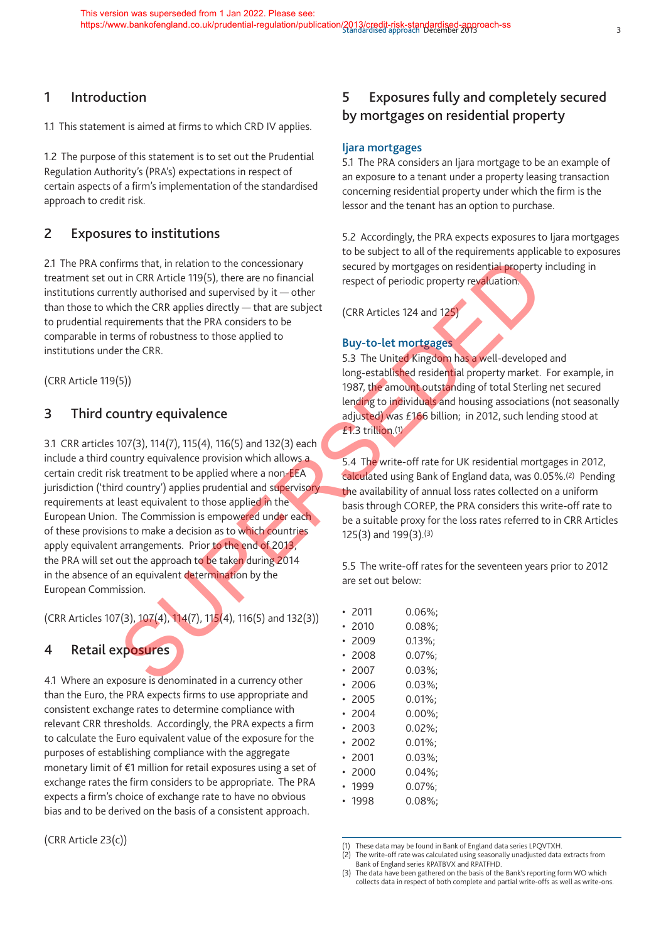## **1 Introduction**

1.1 This statement is aimed at firms to which CRD IV applies.

1.2 The purpose of this statement is to set out the Prudential Regulation Authority's (PRA's) expectations in respect of certain aspects of a firm's implementation of the standardised approach to credit risk.

## **2 Exposures to institutions**

2.1 The PRA confirms that, in relation to the concessionary treatment set out in CRR Article 119(5), there are no financial institutions currently authorised and supervised by it — other than those to which the CRR applies directly — that are subject to prudential requirements that the PRA considers to be comparable in terms of robustness to those applied to institutions under the CRR.

(CRR Article 119(5))

## **3 Third country equivalence**

3.1 CRR articles 107(3), 114(7), 115(4), 116(5) and 132(3) each include a third country equivalence provision which allows a certain credit risk treatment to be applied where a non-EEA jurisdiction ('third country') applies prudential and supervisory requirements at least equivalent to those applied in the European Union. The Commission is empowered under each of these provisions to make a decision as to which countries apply equivalent arrangements. Prior to the end of 2013, the PRA will set out the approach to be taken during 2014 in the absence of an equivalent determination by the European Commission. Firms that, in relation to the concessionary<br>
trich (1965), there are no financial<br>
trich Rarkich (1965), there are no financial<br>
interesting and supervised by it — other<br>
interesting and supervised by the other<br>
trich th

(CRR Articles 107(3), 107(4), 114(7), 115(4), 116(5) and 132(3))

## **4 Retail exposures**

4.1 Where an exposure is denominated in a currency other than the Euro, the PRA expects firms to use appropriate and consistent exchange rates to determine compliance with relevant CRR thresholds. Accordingly, the PRA expects a firm to calculate the Euro equivalent value of the exposure for the purposes of establishing compliance with the aggregate monetary limit of €1 million for retail exposures using a set of exchange rates the firm considers to be appropriate. The PRA expects a firm's choice of exchange rate to have no obvious bias and to be derived on the basis of a consistent approach.

(CRR Article 23(c))

## **5 Exposures fully and completely secured by mortgages on residential property**

#### **Ijara mortgages**

5.1 The PRA considers an Ijara mortgage to be an example of an exposure to a tenant under a property leasing transaction concerning residential property under which the firm is the lessor and the tenant has an option to purchase.

5.2 Accordingly, the PRA expects exposures to Ijara mortgages to be subject to all of the requirements applicable to exposures secured by mortgages on residential property including in respect of periodic property revaluation.

(CRR Articles 124 and 125)

#### **Buy-to-let mortgages**

5.3 The United Kingdom has a well-developed and long-established residential property market. For example, in 1987, the amount outstanding of total Sterling net secured lending to individuals and housing associations (not seasonally adjusted) was £166 billion; in 2012, such lending stood at £1.3 trillion.(1)

5.4 The write-off rate for UK residential mortgages in 2012, calculated using Bank of England data, was 0.05%.(2) Pending the availability of annual loss rates collected on a uniform basis through COREP, the PRA considers this write-off rate to be a suitable proxy for the loss rates referred to in CRR Articles 125(3) and 199(3).(3)

5.5 The write-off rates for the seventeen years prior to 2012 are set out below:

| 2011 | $0.06\%$  |
|------|-----------|
| 2010 | $0.08\%$  |
| 2009 | $0.13\%$  |
| 2008 | $0.07\%$  |
| 2007 | $0.03\%;$ |
| 2006 | $0.03\%$  |
| 2005 | $0.01\%$  |
| 2004 | $0.00\%;$ |
| 2003 | $0.02\%$  |
| 2002 | $0.01\%$  |
| 2001 | $0.03\%$  |
| 2000 | $0.04\%$  |
| 1999 | $0.07\%;$ |
| 1998 | $0.08\%$  |
|      |           |

<sup>(1)</sup> These data may be found in Bank of England data series LPQVTXH.

- (2) The write-off rate was calculated using seasonally unadjusted data extracts from Bank of England series RPATBVX and RPATFHD.
- (3) The data have been gathered on the basis of the Bank's reporting form WO which collects data in respect of both complete and partial write-offs as well as write-ons.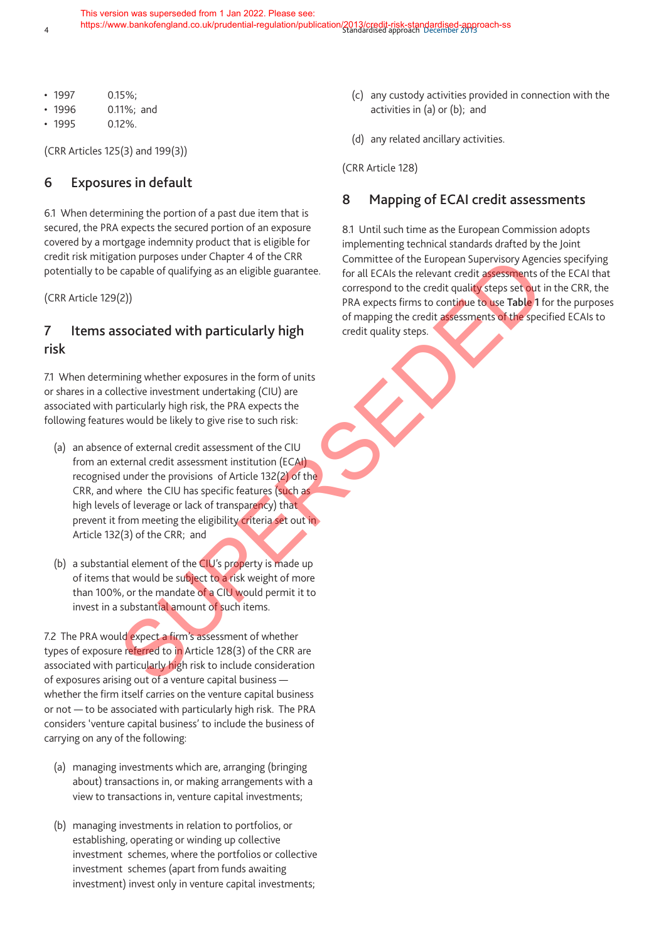- 
- 1997 0.15%;
- 1996 0.11%; and
- 1995 0.12%.

(CRR Articles 125(3) and 199(3))

## **6 Exposures in default**

6.1 When determining the portion of a past due item that is secured, the PRA expects the secured portion of an exposure covered by a mortgage indemnity product that is eligible for credit risk mitigation purposes under Chapter 4 of the CRR potentially to be capable of qualifying as an eligible guarantee.

(CRR Article 129(2))

## **7 Items associated with particularly high risk**

7.1 When determining whether exposures in the form of units or shares in a collective investment undertaking (CIU) are associated with particularly high risk, the PRA expects the following features would be likely to give rise to such risk:

- (a) an absence of external credit assessment of the CIU from an external credit assessment institution (ECAI) recognised under the provisions of Article 132(2) of the CRR, and where the CIU has specific features (such as high levels of leverage or lack of transparency) that prevent it from meeting the eligibility criteria set out in Article 132(3) of the CRR; and utual puppes suitable at a distribution of the transformation of the transformation of the control and the stress and the control of the energy of Access the control of the energy of Access the control of the credit qualit
- (b) a substantial element of the CIU's property is made up of items that would be subject to a risk weight of more than 100%, or the mandate of a CIU would permit it to invest in a substantial amount of such items.

7.2 The PRA would expect a firm's assessment of whether types of exposure referred to in Article 128(3) of the CRR are associated with particularly high risk to include consideration of exposures arising out of a venture capital business whether the firm itself carries on the venture capital business or not — to be associated with particularly high risk. The PRA considers 'venture capital business' to include the business of carrying on any of the following:

- (a) managing investments which are, arranging (bringing about) transactions in, or making arrangements with a view to transactions in, venture capital investments;
- (b) managing investments in relation to portfolios, or establishing, operating or winding up collective investment schemes, where the portfolios or collective investment schemes (apart from funds awaiting investment) invest only in venture capital investments;
- (c) any custody activities provided in connection with the activities in (a) or (b); and
- (d) any related ancillary activities.

(CRR Article 128)

## **8 Mapping of ECAI credit assessments**

8.1 Until such time as the European Commission adopts implementing technical standards drafted by the Joint Committee of the European Supervisory Agencies specifying for all ECAIs the relevant credit assessments of the ECAI that correspond to the credit quality steps set out in the CRR, the PRA expects firms to continue to use **Table 1** for the purposes of mapping the credit assessments of the specified ECAIs to credit quality steps.